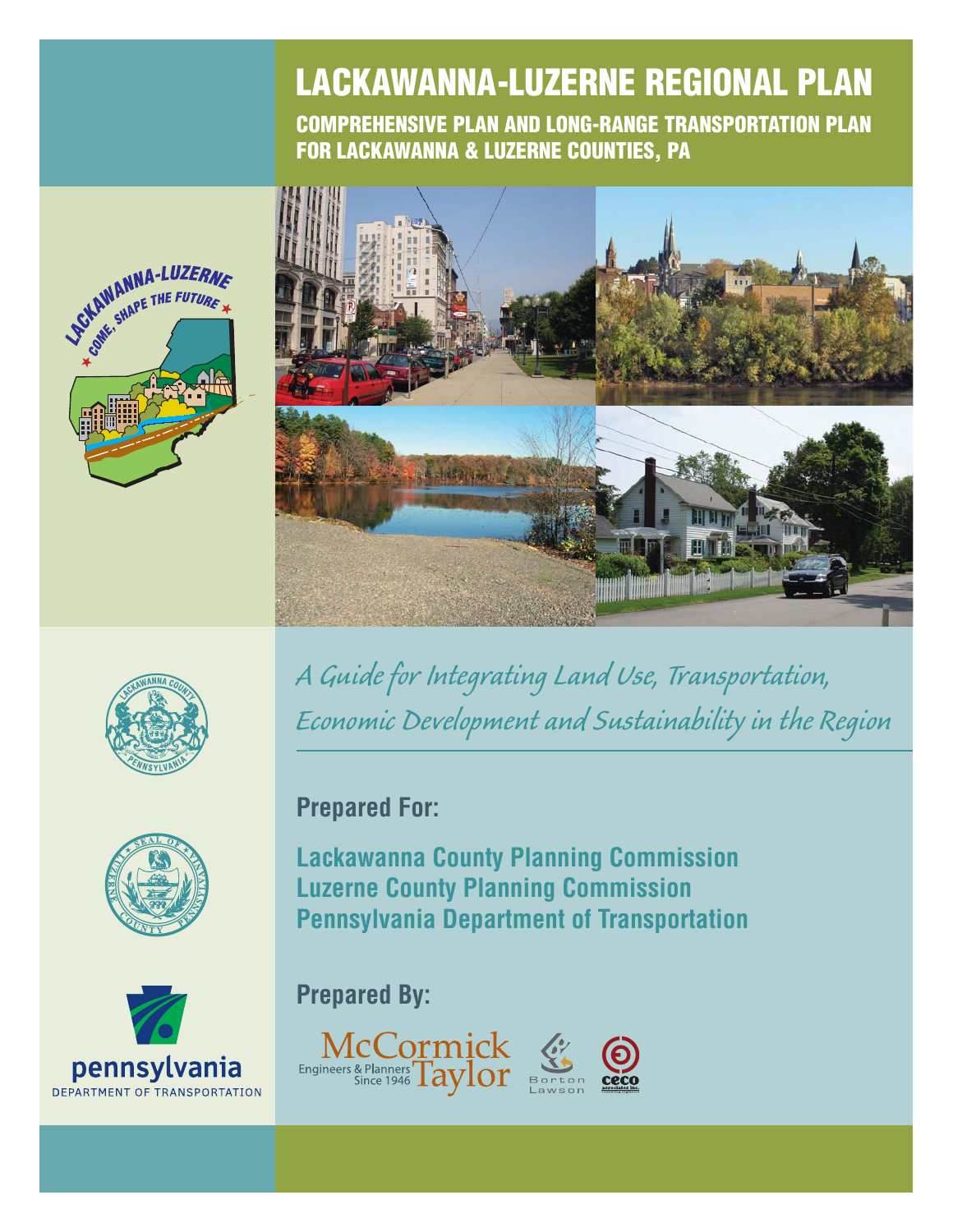# **LACKAWANNA-LUZERNE REGIONAL PLAN**

**COMPREHENSIVE PLAN AND LONG-RANGE TRANSPORTATION PLAN FOR LACKAWANNA & LUZERNE COUNTIES, PA**





**VESTAWANNA-LUZERNE STAWANNA-LUZERM** 





*A Guide for Integrating Land Use, Transportation, Economic Development and Sustainability in the Region*

# **Prepared For:**

**Lackawanna County Planning Commission Luzerne County Planning Commission Pennsylvania Department of Transportation**

# **Prepared By:**

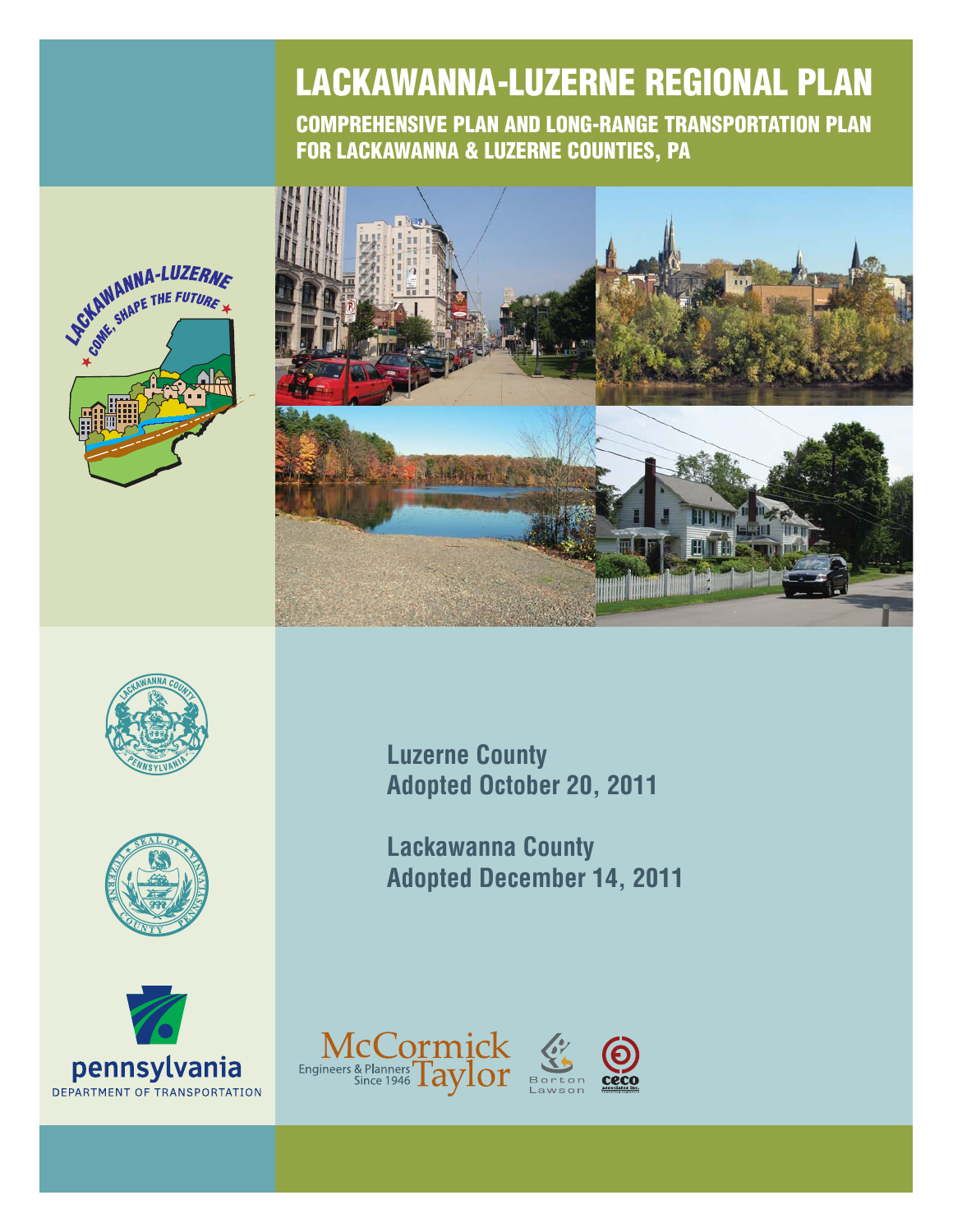# **LACKAWANNA-LUZERNE REGIONAL PLAN**

**COMPREHENSIVE PLAN AND LONG-RANGE TRANSPORTATION PLAN FOR LACKAWANNA & LUZERNE COUNTIES, PA**











**Luzerne County Adopted October 20, 2011**

**Lackawanna County Adopted December 14, 2011**

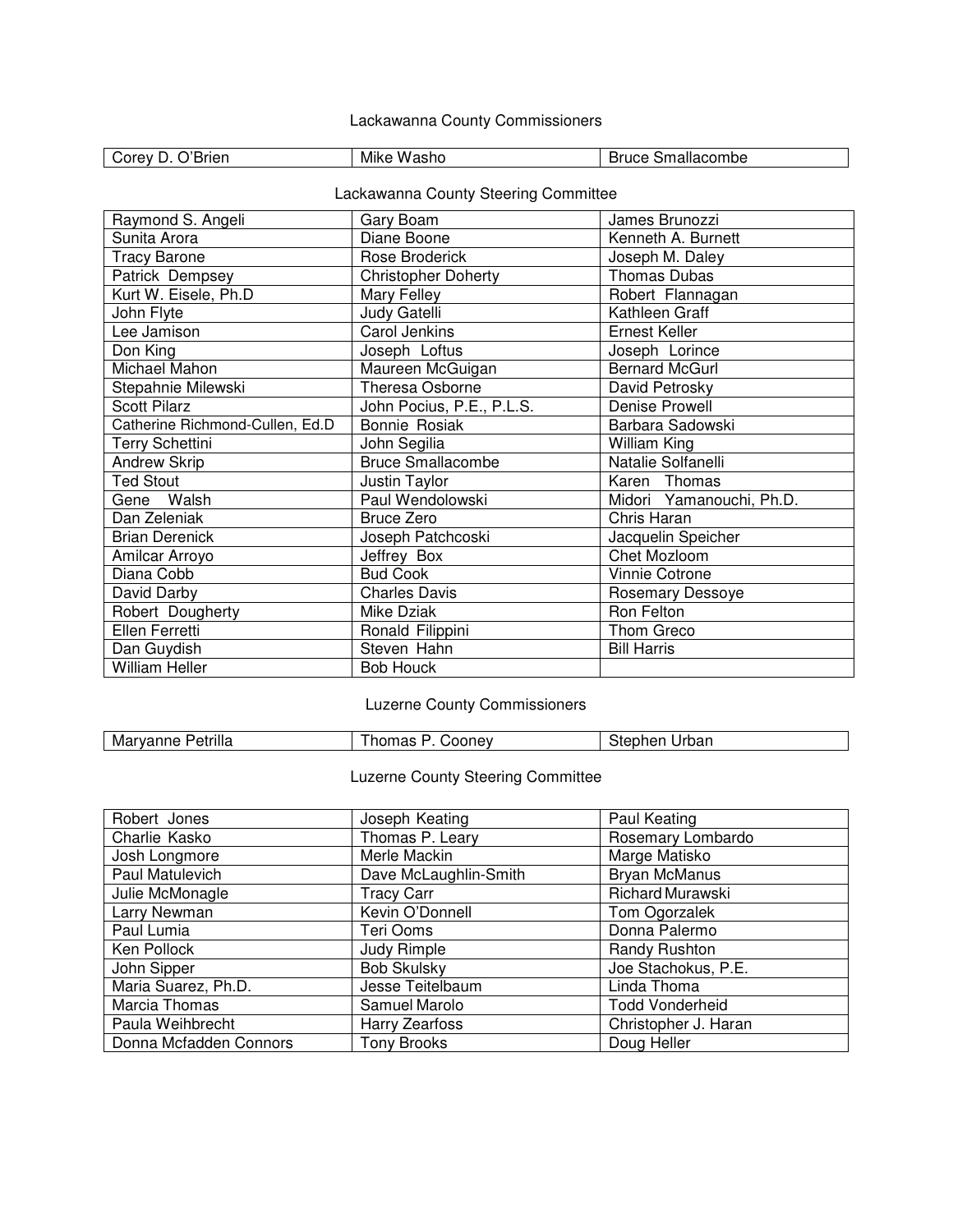#### Lackawanna County Commissioners

| - - -<br><b>Orev</b><br>rier<br>_______ | .<br>$ -$<br>AIM N<br>W.<br>วงแบ | .<br>ombe<br>ור<br>ollidildu.<br>$\cdots$ |
|-----------------------------------------|----------------------------------|-------------------------------------------|
|                                         |                                  |                                           |

#### Lackawanna County Steering Committee

| Raymond S. Angeli               | Gary Boam                  | James Brunozzi           |
|---------------------------------|----------------------------|--------------------------|
| Sunita Arora                    | Diane Boone                | Kenneth A. Burnett       |
| <b>Tracy Barone</b>             | Rose Broderick             | Joseph M. Daley          |
| Patrick Dempsey                 | <b>Christopher Doherty</b> | <b>Thomas Dubas</b>      |
| Kurt W. Eisele, Ph.D            | Mary Felley                | Robert Flannagan         |
| John Flyte                      | Judy Gatelli               | Kathleen Graff           |
| Lee Jamison                     | Carol Jenkins              | Ernest Keller            |
| Don King                        | Joseph Loftus              | Joseph Lorince           |
| Michael Mahon                   | Maureen McGuigan           | <b>Bernard McGurl</b>    |
| Stepahnie Milewski              | Theresa Osborne            | David Petrosky           |
| <b>Scott Pilarz</b>             | John Pocius, P.E., P.L.S.  | Denise Prowell           |
| Catherine Richmond-Cullen, Ed.D | <b>Bonnie Rosiak</b>       | Barbara Sadowski         |
| <b>Terry Schettini</b>          | John Segilia               | William King             |
| <b>Andrew Skrip</b>             | <b>Bruce Smallacombe</b>   | Natalie Solfanelli       |
| <b>Ted Stout</b>                | Justin Taylor              | Karen Thomas             |
| Gene Walsh                      | Paul Wendolowski           | Midori Yamanouchi, Ph.D. |
| Dan Zeleniak                    | <b>Bruce Zero</b>          | Chris Haran              |
| <b>Brian Derenick</b>           | Joseph Patchcoski          | Jacquelin Speicher       |
| Amilcar Arroyo                  | Jeffrey Box                | Chet Mozloom             |
| Diana Cobb                      | <b>Bud Cook</b>            | Vinnie Cotrone           |
| David Darby                     | <b>Charles Davis</b>       | Rosemary Dessoye         |
| Robert Dougherty                | Mike Dziak                 | Ron Felton               |
| Ellen Ferretti                  | Ronald Filippini           | Thom Greco               |
| Dan Guydish                     | Steven Hahn                | <b>Bill Harris</b>       |
| <b>William Heller</b>           | <b>Bob Houck</b>           |                          |

#### Luzerne County Commissioners

#### Luzerne County Steering Committee

| Robert Jones           | Joseph Keating        | Paul Keating            |
|------------------------|-----------------------|-------------------------|
| Charlie Kasko          | Thomas P. Leary       | Rosemary Lombardo       |
| Josh Longmore          | Merle Mackin          | Marge Matisko           |
| Paul Matulevich        | Dave McLaughlin-Smith | <b>Bryan McManus</b>    |
| Julie McMonagle        | <b>Tracy Carr</b>     | <b>Richard Murawski</b> |
| Larry Newman           | Kevin O'Donnell       | Tom Ogorzalek           |
| Paul Lumia             | Teri Ooms             | Donna Palermo           |
| Ken Pollock            | Judy Rimple           | Randy Rushton           |
| John Sipper            | <b>Bob Skulsky</b>    | Joe Stachokus, P.E.     |
| Maria Suarez, Ph.D.    | Jesse Teitelbaum      | Linda Thoma             |
| Marcia Thomas          | Samuel Marolo         | <b>Todd Vonderheid</b>  |
| Paula Weihbrecht       | Harry Zearfoss        | Christopher J. Haran    |
| Donna Mcfadden Connors | <b>Tony Brooks</b>    | Doug Heller             |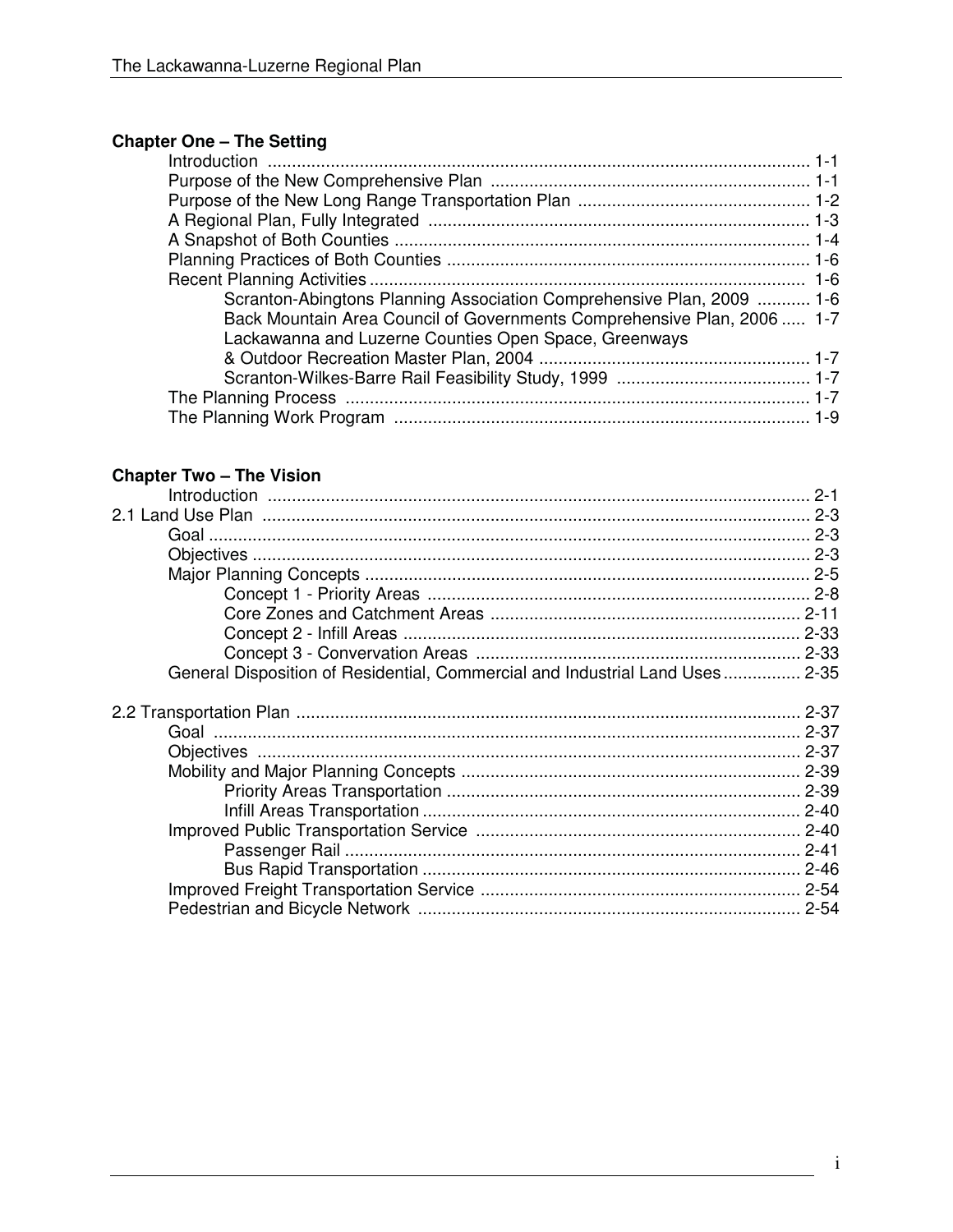## **Chapter One - The Setting**

| Scranton-Abingtons Planning Association Comprehensive Plan, 2009  1-6  |  |
|------------------------------------------------------------------------|--|
| Back Mountain Area Council of Governments Comprehensive Plan, 2006 1-7 |  |
| Lackawanna and Luzerne Counties Open Space, Greenways                  |  |
|                                                                        |  |
|                                                                        |  |
|                                                                        |  |
|                                                                        |  |
|                                                                        |  |

# **Chapter Two - The Vision**

| General Disposition of Residential, Commercial and Industrial Land Uses 2-35 |  |
|------------------------------------------------------------------------------|--|
|                                                                              |  |
|                                                                              |  |
|                                                                              |  |
|                                                                              |  |
|                                                                              |  |
|                                                                              |  |
|                                                                              |  |
|                                                                              |  |
|                                                                              |  |
|                                                                              |  |
|                                                                              |  |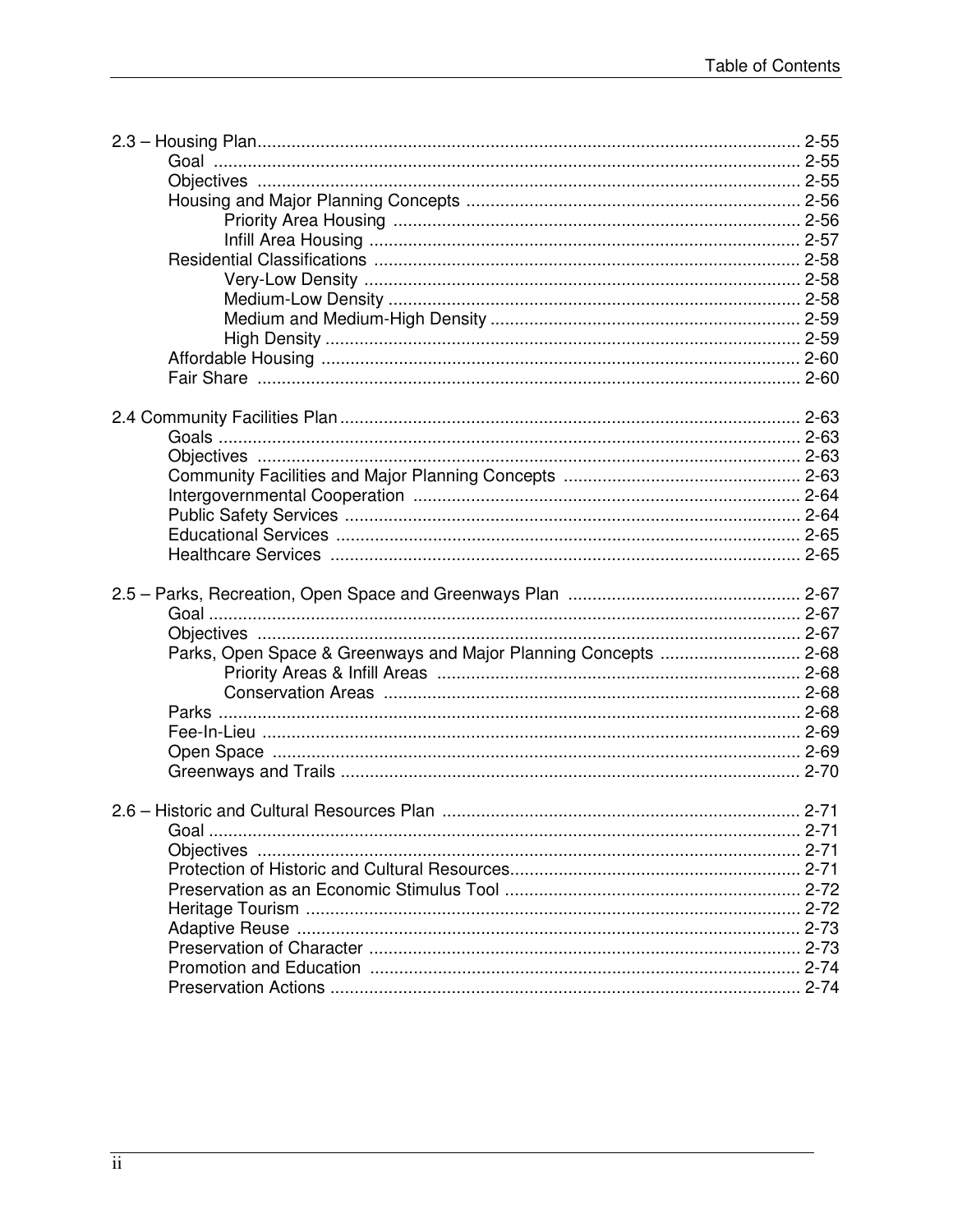| Parks, Open Space & Greenways and Major Planning Concepts  2-68 |  |
|-----------------------------------------------------------------|--|
|                                                                 |  |
|                                                                 |  |
|                                                                 |  |
|                                                                 |  |
|                                                                 |  |
|                                                                 |  |
|                                                                 |  |
|                                                                 |  |
|                                                                 |  |
|                                                                 |  |
|                                                                 |  |
|                                                                 |  |
|                                                                 |  |
|                                                                 |  |
|                                                                 |  |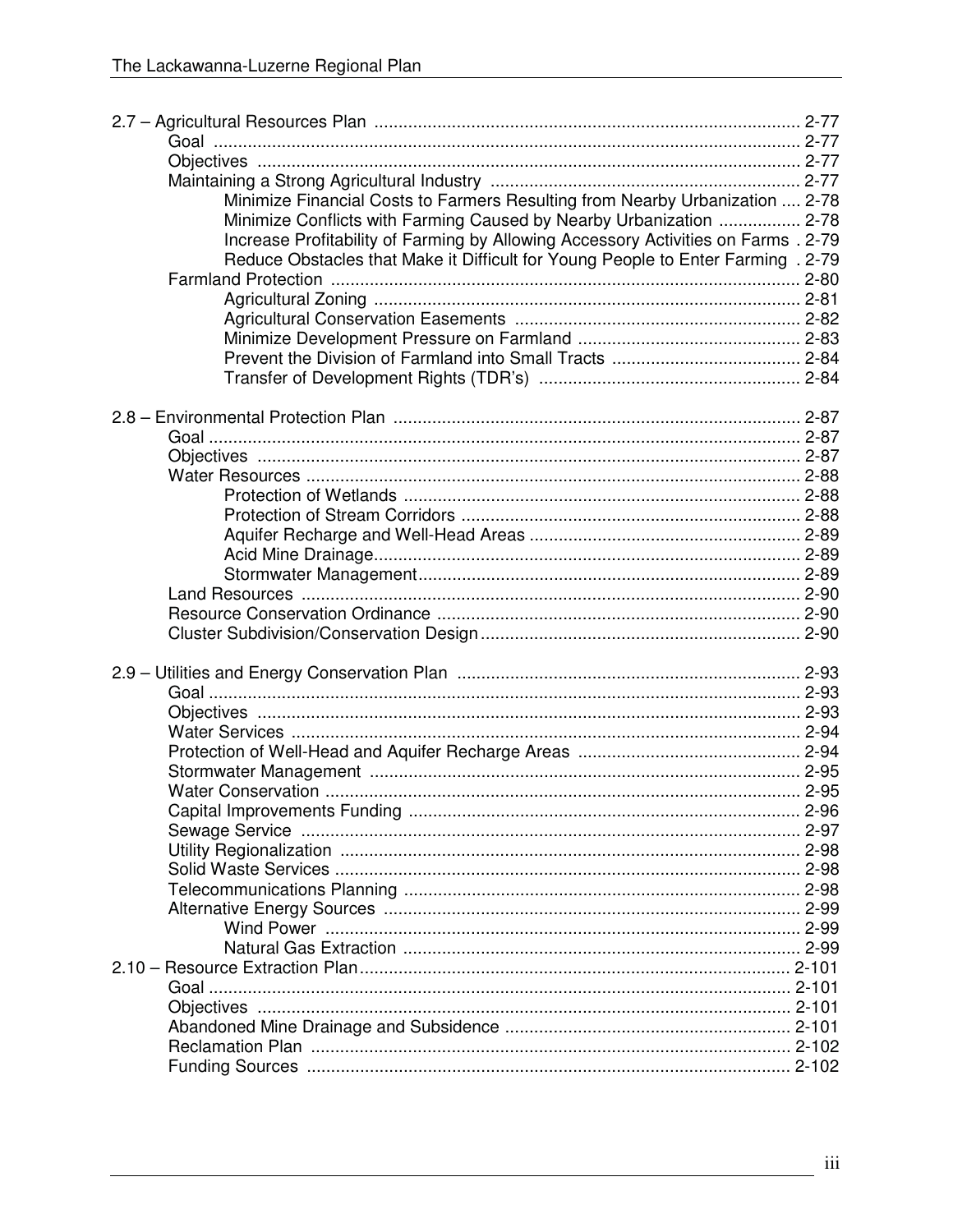| Minimize Financial Costs to Farmers Resulting from Nearby Urbanization  2-78       |  |
|------------------------------------------------------------------------------------|--|
| Minimize Conflicts with Farming Caused by Nearby Urbanization  2-78                |  |
| Increase Profitability of Farming by Allowing Accessory Activities on Farms . 2-79 |  |
| Reduce Obstacles that Make it Difficult for Young People to Enter Farming . 2-79   |  |
|                                                                                    |  |
|                                                                                    |  |
|                                                                                    |  |
|                                                                                    |  |
|                                                                                    |  |
|                                                                                    |  |
|                                                                                    |  |
|                                                                                    |  |
|                                                                                    |  |
|                                                                                    |  |
|                                                                                    |  |
|                                                                                    |  |
|                                                                                    |  |
|                                                                                    |  |
|                                                                                    |  |
|                                                                                    |  |
|                                                                                    |  |
|                                                                                    |  |
|                                                                                    |  |
|                                                                                    |  |
|                                                                                    |  |
|                                                                                    |  |
|                                                                                    |  |
|                                                                                    |  |
|                                                                                    |  |
|                                                                                    |  |
|                                                                                    |  |
|                                                                                    |  |
|                                                                                    |  |
|                                                                                    |  |
|                                                                                    |  |
|                                                                                    |  |
|                                                                                    |  |
|                                                                                    |  |
|                                                                                    |  |
|                                                                                    |  |
|                                                                                    |  |
|                                                                                    |  |
|                                                                                    |  |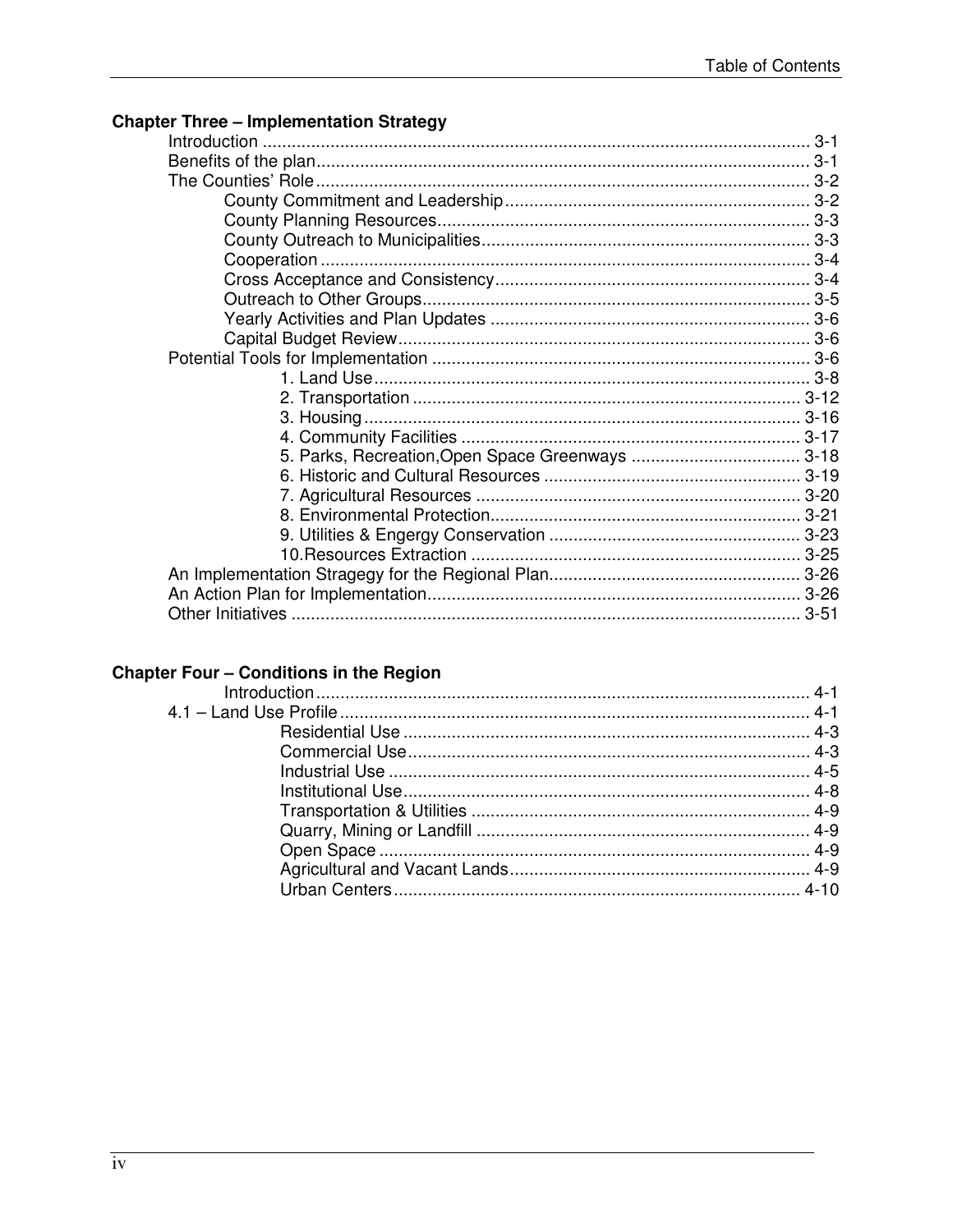## **Chapter Three - Implementation Strategy**

## **Chapter Four - Conditions in the Region**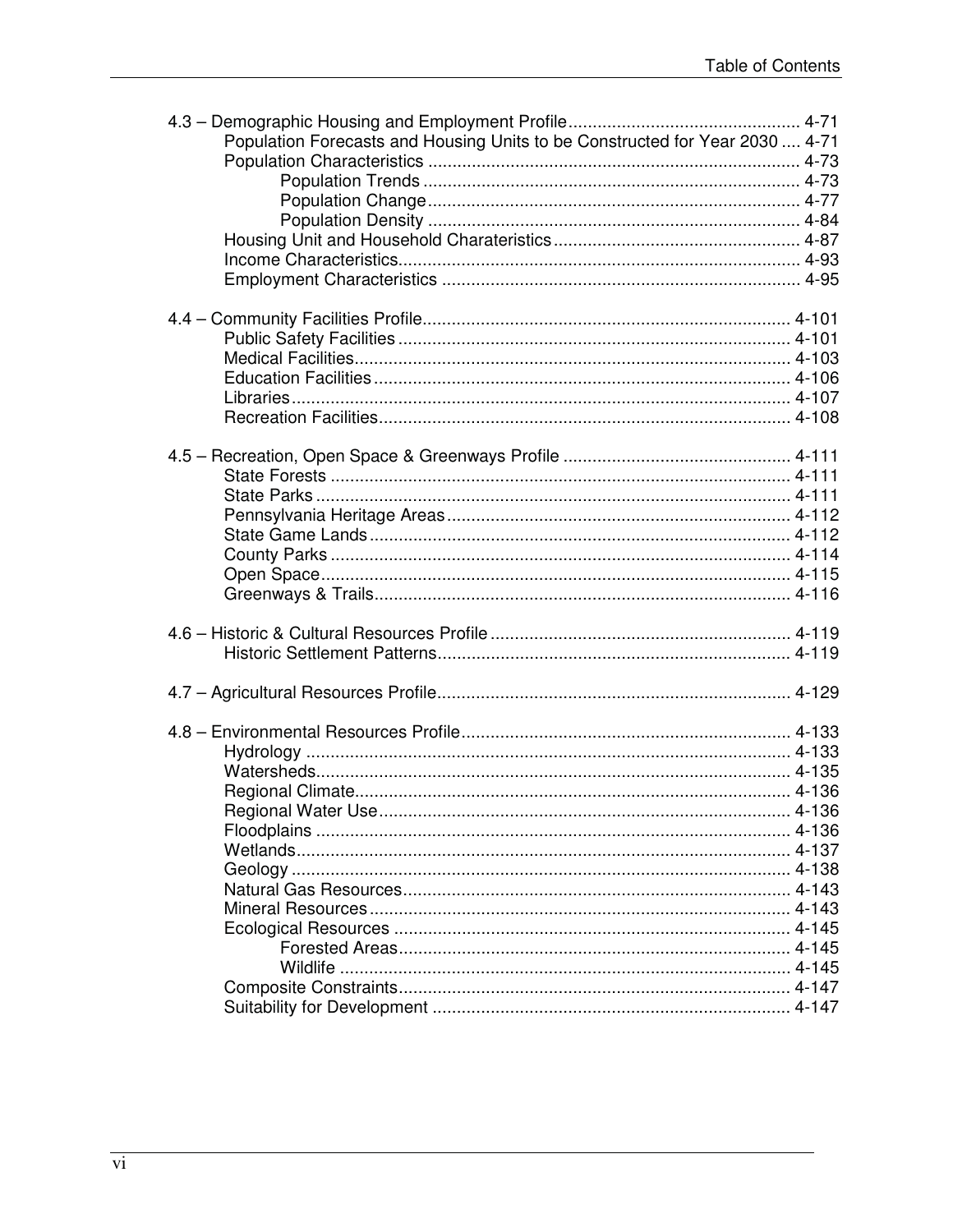| Population Forecasts and Housing Units to be Constructed for Year 2030  4-71 |  |
|------------------------------------------------------------------------------|--|
|                                                                              |  |
|                                                                              |  |
|                                                                              |  |
|                                                                              |  |
|                                                                              |  |
|                                                                              |  |
|                                                                              |  |
|                                                                              |  |
|                                                                              |  |
|                                                                              |  |
|                                                                              |  |
|                                                                              |  |
|                                                                              |  |
|                                                                              |  |
|                                                                              |  |
|                                                                              |  |
|                                                                              |  |
|                                                                              |  |
|                                                                              |  |
|                                                                              |  |
|                                                                              |  |
|                                                                              |  |
|                                                                              |  |
|                                                                              |  |
|                                                                              |  |
|                                                                              |  |
|                                                                              |  |
|                                                                              |  |
|                                                                              |  |
|                                                                              |  |
|                                                                              |  |
|                                                                              |  |
|                                                                              |  |
|                                                                              |  |
|                                                                              |  |
|                                                                              |  |
|                                                                              |  |
|                                                                              |  |
|                                                                              |  |
|                                                                              |  |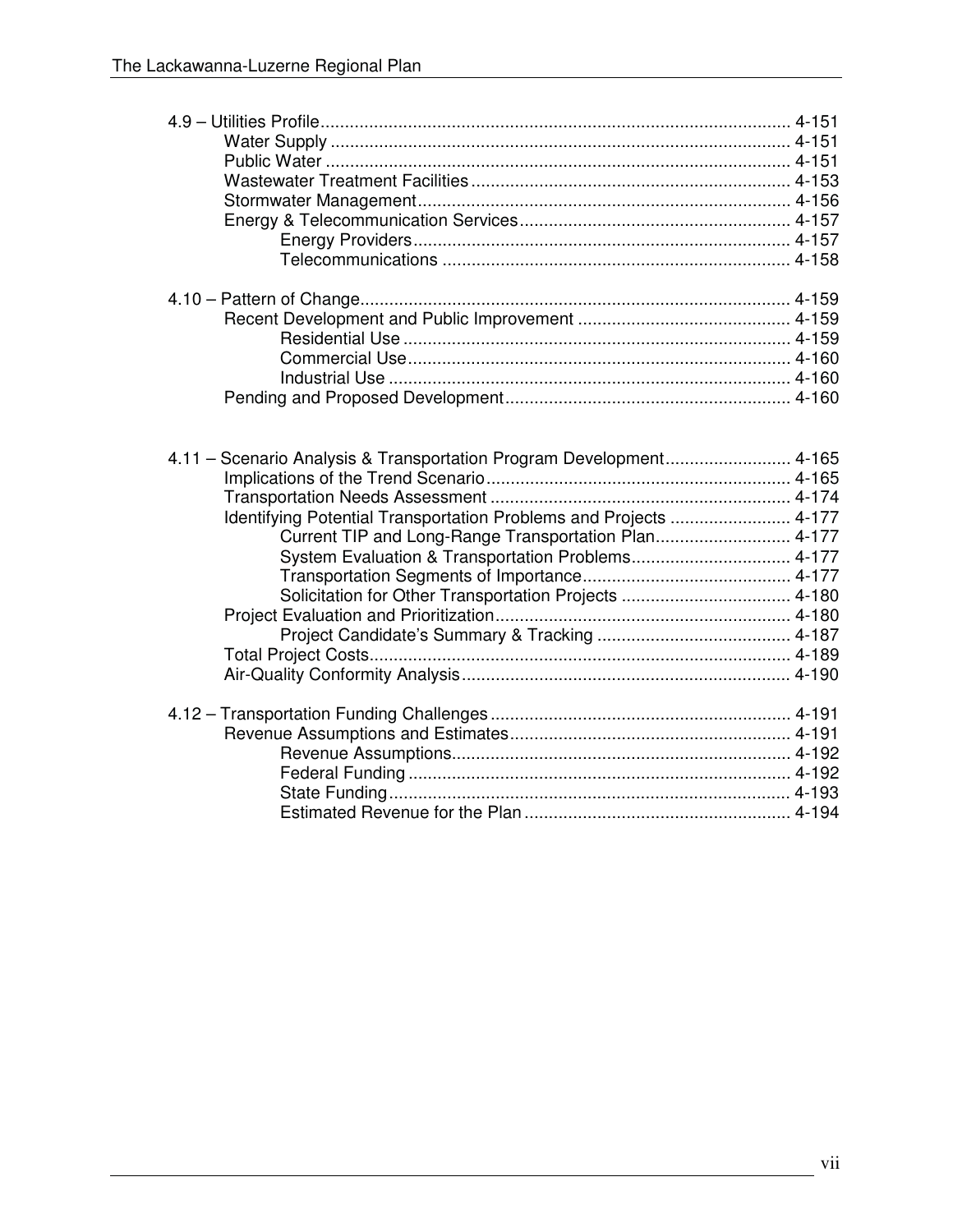| 4.11 - Scenario Analysis & Transportation Program Development 4-165<br>Identifying Potential Transportation Problems and Projects  4-177<br>Current TIP and Long-Range Transportation Plan 4-177<br>System Evaluation & Transportation Problems 4-177 |  |
|-------------------------------------------------------------------------------------------------------------------------------------------------------------------------------------------------------------------------------------------------------|--|
|                                                                                                                                                                                                                                                       |  |
|                                                                                                                                                                                                                                                       |  |
|                                                                                                                                                                                                                                                       |  |
|                                                                                                                                                                                                                                                       |  |
|                                                                                                                                                                                                                                                       |  |
|                                                                                                                                                                                                                                                       |  |
|                                                                                                                                                                                                                                                       |  |
|                                                                                                                                                                                                                                                       |  |
|                                                                                                                                                                                                                                                       |  |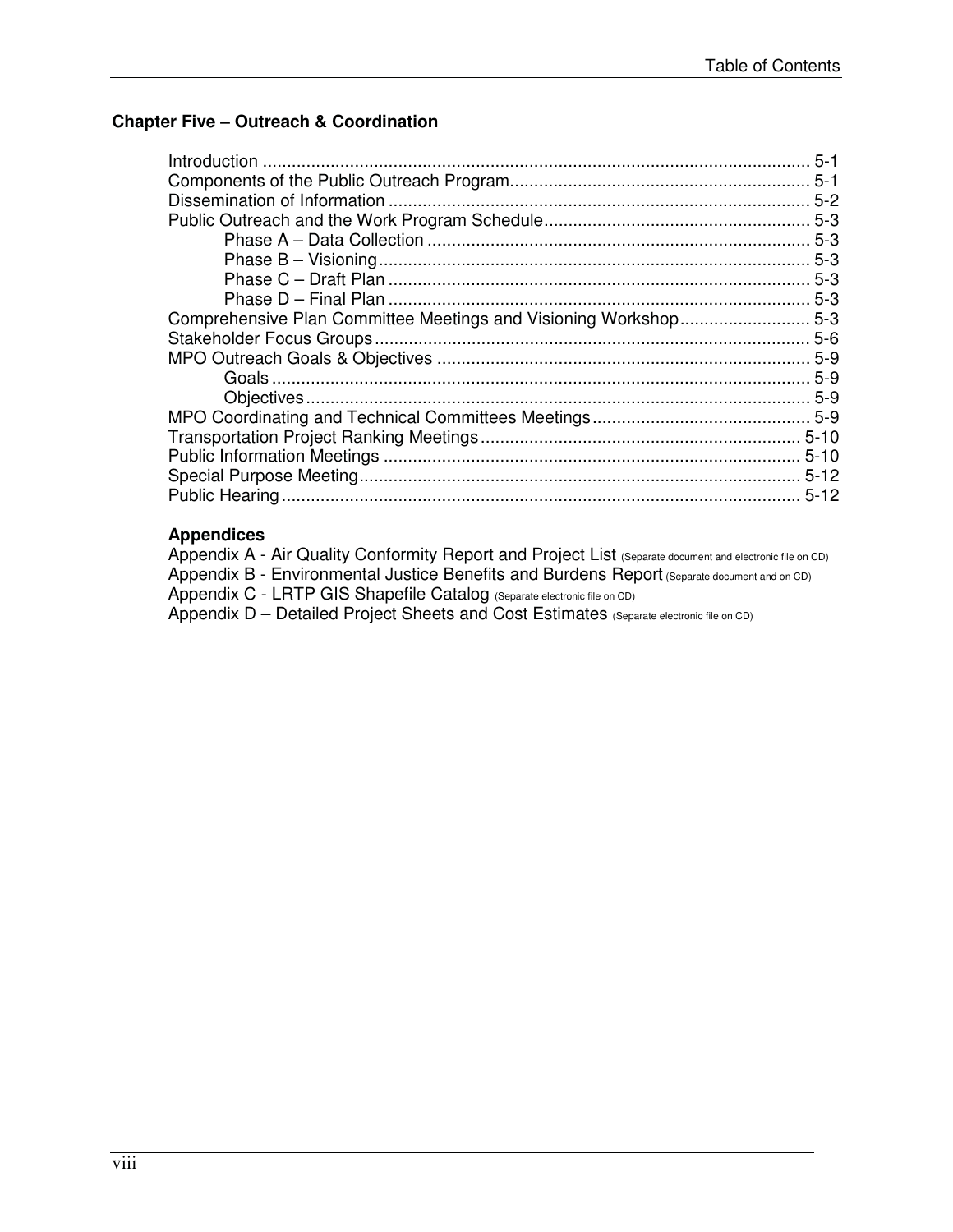## **Chapter Five – Outreach & Coordination**

|                                                                 | $5 - 1$  |
|-----------------------------------------------------------------|----------|
|                                                                 |          |
|                                                                 | $5 - 2$  |
|                                                                 |          |
|                                                                 |          |
|                                                                 |          |
|                                                                 |          |
|                                                                 |          |
| Comprehensive Plan Committee Meetings and Visioning Workshop5-3 |          |
|                                                                 |          |
|                                                                 |          |
|                                                                 |          |
|                                                                 |          |
|                                                                 |          |
|                                                                 |          |
|                                                                 | $5 - 10$ |
|                                                                 | $5-12$   |
|                                                                 |          |

## **Appendices**

| Appendix A - Air Quality Conformity Report and Project List (Separate document and electronic file on CD) |
|-----------------------------------------------------------------------------------------------------------|
| Appendix B - Environmental Justice Benefits and Burdens Report (Separate document and on CD)              |
| Appendix C - LRTP GIS Shapefile Catalog (Separate electronic file on CD)                                  |
| Appendix D - Detailed Project Sheets and Cost Estimates (Separate electronic file on CD)                  |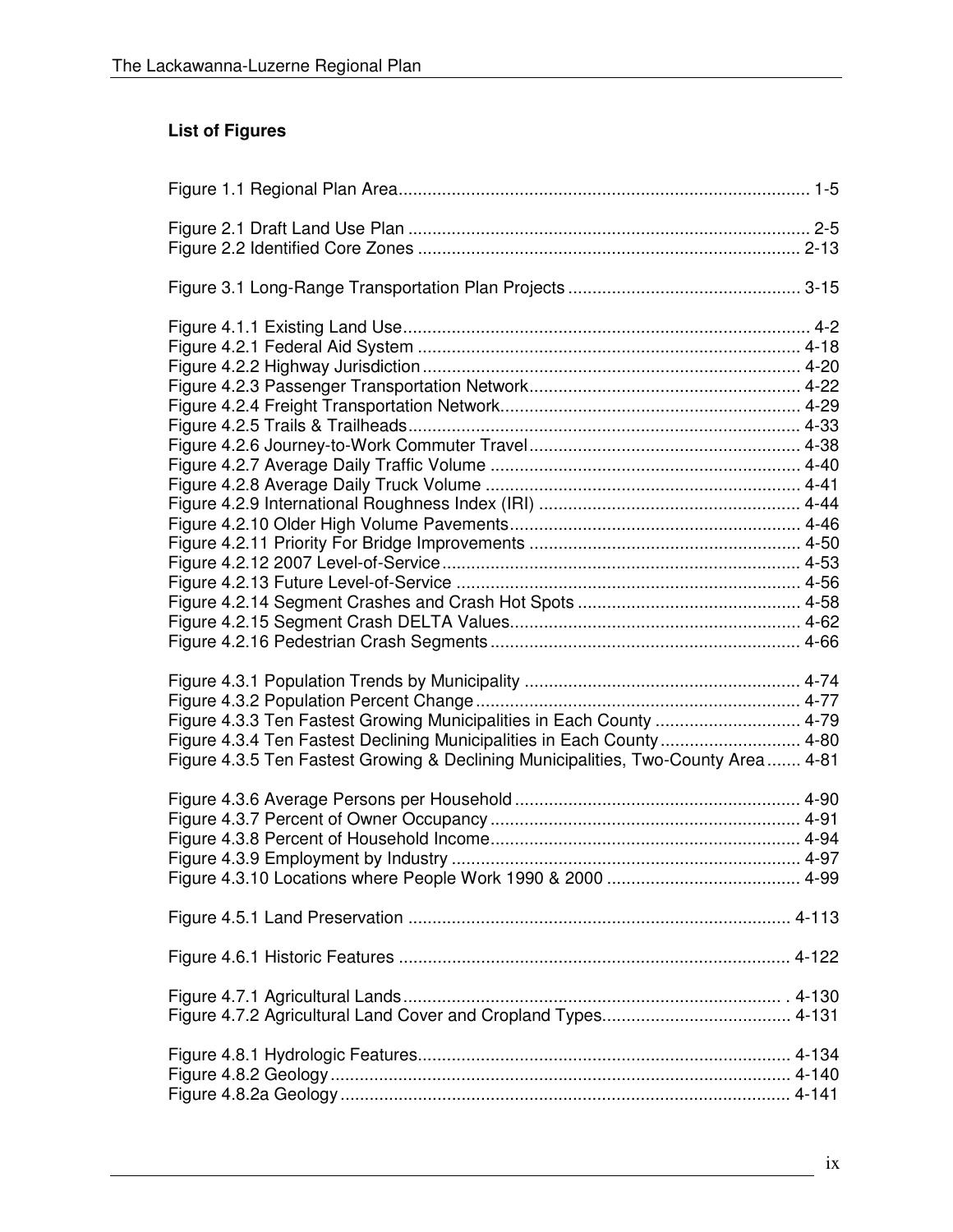# **List of Figures**

| Figure 4.3.3 Ten Fastest Growing Municipalities in Each County  4-79              |  |
|-----------------------------------------------------------------------------------|--|
| Figure 4.3.4 Ten Fastest Declining Municipalities in Each County 4-80             |  |
| Figure 4.3.5 Ten Fastest Growing & Declining Municipalities, Two-County Area 4-81 |  |
|                                                                                   |  |
|                                                                                   |  |
|                                                                                   |  |
|                                                                                   |  |
|                                                                                   |  |
|                                                                                   |  |
|                                                                                   |  |
|                                                                                   |  |
|                                                                                   |  |
|                                                                                   |  |
|                                                                                   |  |
|                                                                                   |  |
|                                                                                   |  |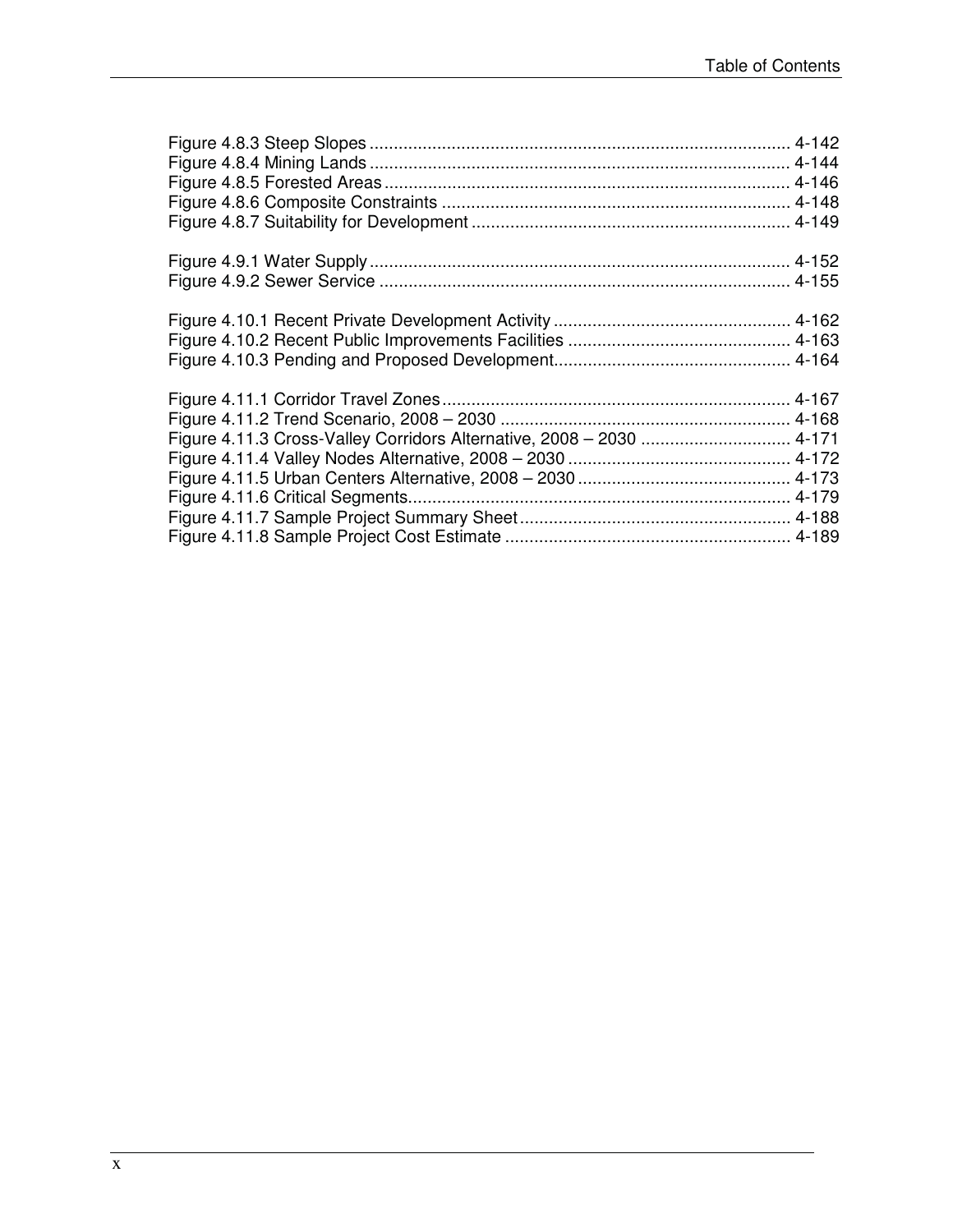| Figure 4.11.3 Cross-Valley Corridors Alternative, 2008 - 2030  4-171 |  |
|----------------------------------------------------------------------|--|
|                                                                      |  |
|                                                                      |  |
|                                                                      |  |
|                                                                      |  |
|                                                                      |  |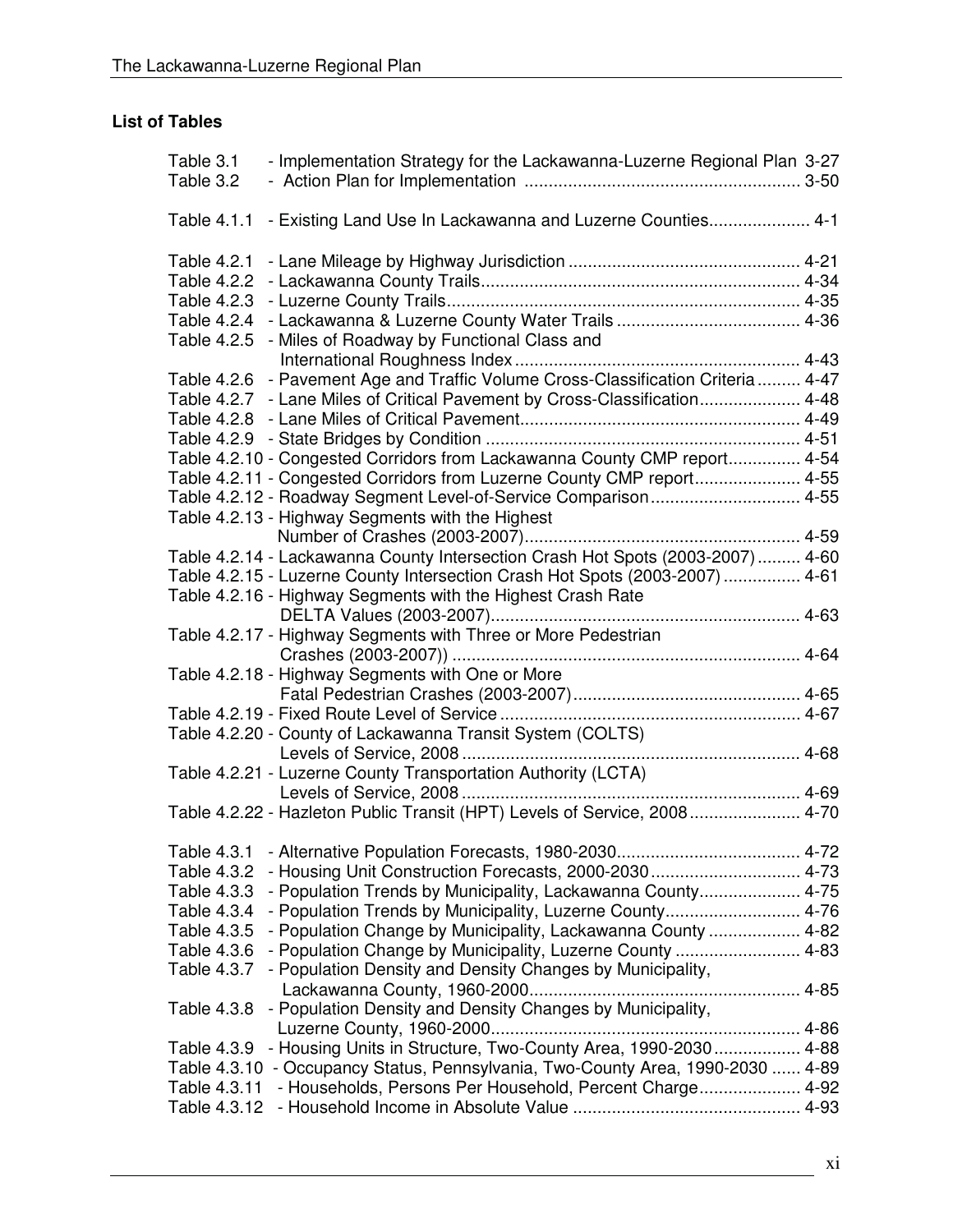#### **List of Tables**

| Table 3.1<br>- Implementation Strategy for the Lackawanna-Luzerne Regional Plan 3-27<br>Table 3.2 |  |
|---------------------------------------------------------------------------------------------------|--|
| - Existing Land Use In Lackawanna and Luzerne Counties 4-1<br>Table 4.1.1                         |  |
| Table 4.2.1                                                                                       |  |
| Table 4.2.2                                                                                       |  |
| Table 4.2.3                                                                                       |  |
| Table 4.2.4                                                                                       |  |
| Table 4.2.5<br>- Miles of Roadway by Functional Class and                                         |  |
|                                                                                                   |  |
| - Pavement Age and Traffic Volume Cross-Classification Criteria  4-47<br>Table 4.2.6              |  |
| Table 4.2.7 - Lane Miles of Critical Pavement by Cross-Classification 4-48                        |  |
|                                                                                                   |  |
|                                                                                                   |  |
| Table 4.2.10 - Congested Corridors from Lackawanna County CMP report 4-54                         |  |
| Table 4.2.11 - Congested Corridors from Luzerne County CMP report 4-55                            |  |
| Table 4.2.12 - Roadway Segment Level-of-Service Comparison 4-55                                   |  |
| Table 4.2.13 - Highway Segments with the Highest                                                  |  |
|                                                                                                   |  |
| Table 4.2.14 - Lackawanna County Intersection Crash Hot Spots (2003-2007)  4-60                   |  |
| Table 4.2.15 - Luzerne County Intersection Crash Hot Spots (2003-2007)  4-61                      |  |
| Table 4.2.16 - Highway Segments with the Highest Crash Rate                                       |  |
|                                                                                                   |  |
| Table 4.2.17 - Highway Segments with Three or More Pedestrian                                     |  |
|                                                                                                   |  |
| Table 4.2.18 - Highway Segments with One or More                                                  |  |
|                                                                                                   |  |
|                                                                                                   |  |
| Table 4.2.20 - County of Lackawanna Transit System (COLTS)                                        |  |
|                                                                                                   |  |
| Table 4.2.21 - Luzerne County Transportation Authority (LCTA)                                     |  |
| Levels of Service, 2008                                                                           |  |
| Table 4.2.22 - Hazleton Public Transit (HPT) Levels of Service, 2008 4-70                         |  |
|                                                                                                   |  |
| Table 4.3.1                                                                                       |  |
| Table 4.3.2                                                                                       |  |
| - Population Trends by Municipality, Lackawanna County 4-75<br>Table 4.3.3                        |  |
| - Population Trends by Municipality, Luzerne County 4-76<br>Table 4.3.4                           |  |
| - Population Change by Municipality, Lackawanna County  4-82<br>Table 4.3.5                       |  |
| - Population Change by Municipality, Luzerne County  4-83<br>Table 4.3.6                          |  |
| Table 4.3.7<br>- Population Density and Density Changes by Municipality,                          |  |
|                                                                                                   |  |
| - Population Density and Density Changes by Municipality,<br>Table 4.3.8                          |  |
|                                                                                                   |  |
| - Housing Units in Structure, Two-County Area, 1990-2030 4-88<br>Table 4.3.9                      |  |
| Table 4.3.10 - Occupancy Status, Pennsylvania, Two-County Area, 1990-2030  4-89                   |  |
| - Households, Persons Per Household, Percent Charge 4-92<br>Table 4.3.11                          |  |
| Table 4.3.12                                                                                      |  |